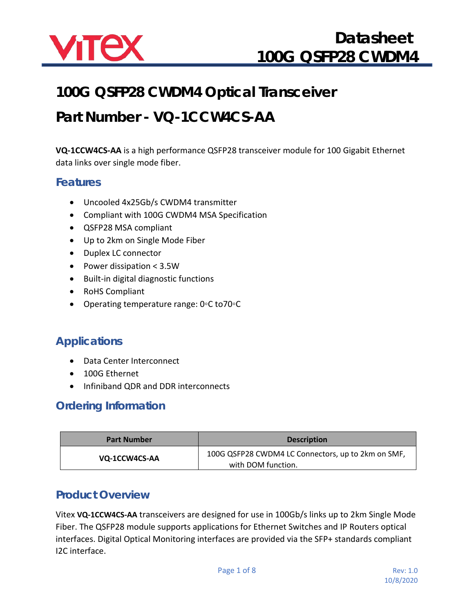

## **100G QSFP28 CWDM4 Optical Transceiver**

# **Part Number - VQ-1CCW4CS-AA**

**VQ-1CCW4CS-AA** is a high performance QSFP28 transceiver module for 100 Gigabit Ethernet data links over single mode fiber.

#### **Features**

- Uncooled 4x25Gb/s CWDM4 transmitter
- Compliant with 100G CWDM4 MSA Specification
- QSFP28 MSA compliant
- Up to 2km on Single Mode Fiber
- Duplex LC connector
- Power dissipation < 3.5W
- Built-in digital diagnostic functions
- RoHS Compliant
- Operating temperature range: 0◦C to70◦C

### **Applications**

- Data Center Interconnect
- 100G Ethernet
- Infiniband QDR and DDR interconnects

#### **Ordering Information**

| <b>Part Number</b> | <b>Description</b>                                                       |  |  |  |
|--------------------|--------------------------------------------------------------------------|--|--|--|
| VQ-1CCW4CS-AA      | 100G QSFP28 CWDM4 LC Connectors, up to 2km on SMF,<br>with DOM function. |  |  |  |

#### **Product Overview**

Vitex **VQ-1CCW4CS-AA** transceivers are designed for use in 100Gb/s links up to 2km Single Mode Fiber. The QSFP28 module supports applications for Ethernet Switches and IP Routers optical interfaces. Digital Optical Monitoring interfaces are provided via the SFP+ standards compliant I2C interface.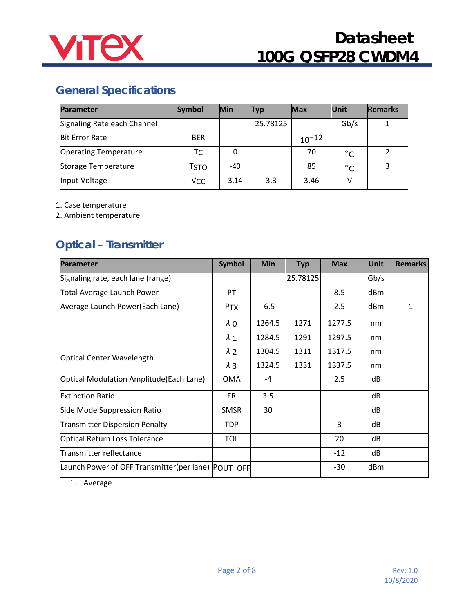

### **General Specifications**

| <b>Parameter</b>             | <b>Symbol</b> | Min  | <b>Typ</b> | Max        | <b>Unit</b> | <b>Remarks</b> |
|------------------------------|---------------|------|------------|------------|-------------|----------------|
| Signaling Rate each Channel  |               |      | 25.78125   |            | Gb/s        |                |
| <b>Bit Error Rate</b>        | <b>BER</b>    |      |            | $10^{-12}$ |             |                |
| <b>Operating Temperature</b> | ТC            | 0    |            | 70         | $^{\circ}C$ | $\mathcal{P}$  |
| Storage Temperature          | TSTO          | -40  |            | 85         | $^{\circ}C$ | 3              |
| Input Voltage                | VCC           | 3.14 | 3.3        | 3.46       | V           |                |

1. Case temperature

2. Ambient temperature

## **Optical – Transmitter**

| <b>Parameter</b>                                   | <b>Symbol</b> | <b>Min</b> | <b>Typ</b> | <b>Max</b> | <b>Unit</b> | <b>Remarks</b> |
|----------------------------------------------------|---------------|------------|------------|------------|-------------|----------------|
| Signaling rate, each lane (range)                  |               |            | 25.78125   |            | Gb/s        |                |
| <b>Total Average Launch Power</b>                  | PT            |            |            | 8.5        | dBm         |                |
| Average Launch Power(Each Lane)                    | <b>PTX</b>    | $-6.5$     |            | 2.5        | dBm         | $\mathbf{1}$   |
|                                                    | $\lambda$ 0   | 1264.5     | 1271       | 1277.5     | nm          |                |
|                                                    | $\lambda$ 1   | 1284.5     | 1291       | 1297.5     | nm          |                |
| <b>Optical Center Wavelength</b>                   | $\lambda$ 2   | 1304.5     | 1311       | 1317.5     | nm          |                |
|                                                    | $\lambda$ 3   | 1324.5     | 1331       | 1337.5     | nm          |                |
| Optical Modulation Amplitude (Each Lane)           | <b>OMA</b>    | $-4$       |            | 2.5        | dB          |                |
| <b>Extinction Ratio</b>                            | ER            | 3.5        |            |            | dB          |                |
| Side Mode Suppression Ratio                        | <b>SMSR</b>   | 30         |            |            | dB          |                |
| <b>Transmitter Dispersion Penalty</b>              | TDP.          |            |            | 3          | dB          |                |
| <b>Optical Return Loss Tolerance</b>               | <b>TOL</b>    |            |            | 20         | dB          |                |
| Transmitter reflectance                            |               |            |            | $-12$      | dB          |                |
| Launch Power of OFF Transmitter(per lane) POUT OFF |               |            |            | $-30$      | dBm         |                |

1. Average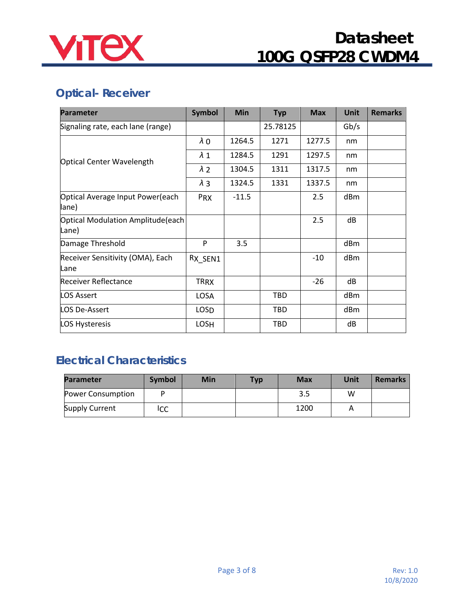

## **Optical- Receiver**

| <b>Parameter</b>                           | <b>Symbol</b> | <b>Min</b> | <b>Typ</b> | <b>Max</b> | <b>Unit</b> | <b>Remarks</b> |
|--------------------------------------------|---------------|------------|------------|------------|-------------|----------------|
| Signaling rate, each lane (range)          |               |            | 25.78125   |            | Gb/s        |                |
|                                            | $\lambda$ O   | 1264.5     | 1271       | 1277.5     | nm          |                |
| Optical Center Wavelength                  | $\lambda$ 1   | 1284.5     | 1291       | 1297.5     | nm          |                |
|                                            | $\lambda$ 2   | 1304.5     | 1311       | 1317.5     | nm          |                |
|                                            | $\lambda$ 3   | 1324.5     | 1331       | 1337.5     | nm          |                |
| Optical Average Input Power(each<br>lane)  | PRX           | $-11.5$    |            | 2.5        | dBm         |                |
| Optical Modulation Amplitude(each<br>Lane) |               |            |            | 2.5        | dB          |                |
| Damage Threshold                           | P             | 3.5        |            |            | dBm         |                |
| Receiver Sensitivity (OMA), Each<br>Lane   | RX SEN1       |            |            | $-10$      | dBm         |                |
| <b>Receiver Reflectance</b>                | <b>TRRX</b>   |            |            | $-26$      | dB          |                |
| LOS Assert                                 | LOSA          |            | TBD.       |            | dBm         |                |
| LOS De-Assert                              | <b>LOSD</b>   |            | <b>TBD</b> |            | dBm         |                |
| LOS Hysteresis                             | LOSH          |            | <b>TBD</b> |            | dB          |                |

### **Electrical Characteristics**

| <b>Parameter</b>  | Symbol | Min | <b>Typ</b> | <b>Max</b> | Unit | <b>Remarks</b> |
|-------------------|--------|-----|------------|------------|------|----------------|
| Power Consumption |        |     |            | 3.5        | w    |                |
| Supply Current    | ICC    |     |            | 1200       |      |                |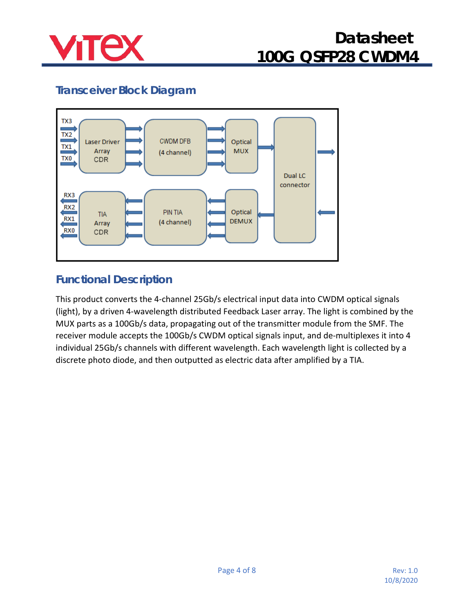

## **Transceiver Block Diagram**



### **Functional Description**

This product converts the 4-channel 25Gb/s electrical input data into CWDM optical signals (light), by a driven 4-wavelength distributed Feedback Laser array. The light is combined by the MUX parts as a 100Gb/s data, propagating out of the transmitter module from the SMF. The receiver module accepts the 100Gb/s CWDM optical signals input, and de-multiplexes it into 4 individual 25Gb/s channels with different wavelength. Each wavelength light is collected by a discrete photo diode, and then outputted as electric data after amplified by a TIA.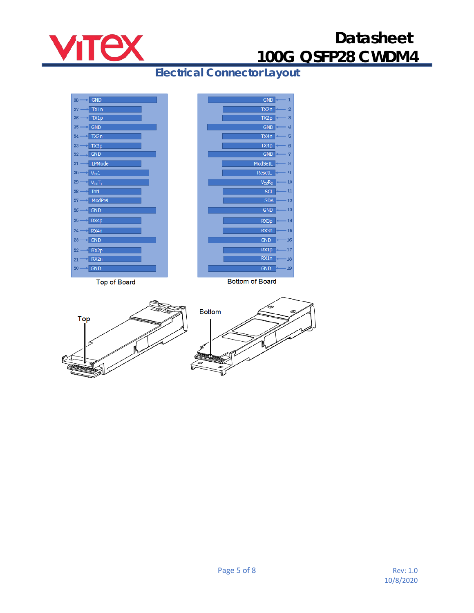

**Electrical Connector Layout**



**Top of Board** 





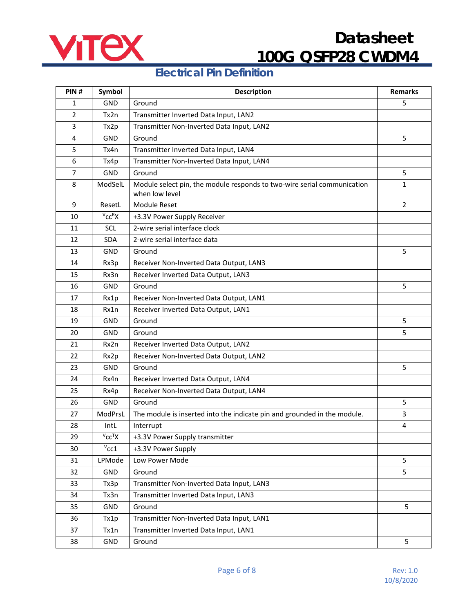

#### **Electrical Pin Definition**

| PIN#           | Symbol                  | <b>Description</b>                                                                        | <b>Remarks</b> |
|----------------|-------------------------|-------------------------------------------------------------------------------------------|----------------|
| 1              | GND                     | Ground                                                                                    | 5              |
| $\overline{2}$ | Tx2n                    | Transmitter Inverted Data Input, LAN2                                                     |                |
| 3              | Tx2p                    | Transmitter Non-Inverted Data Input, LAN2                                                 |                |
| 4              | GND                     | Ground                                                                                    | 5              |
| 5              | Tx4n                    | Transmitter Inverted Data Input, LAN4                                                     |                |
| 6              | Tx4p                    | Transmitter Non-Inverted Data Input, LAN4                                                 |                |
| $\overline{7}$ | GND                     | Ground                                                                                    | 5              |
| 8              | ModSelL                 | Module select pin, the module responds to two-wire serial communication<br>when low level | $\mathbf{1}$   |
| 9              | ResetL                  | Module Reset                                                                              | $\overline{2}$ |
| 10             | $V_{CC}RX$              | +3.3V Power Supply Receiver                                                               |                |
| 11             | SCL                     | 2-wire serial interface clock                                                             |                |
| 12             | <b>SDA</b>              | 2-wire serial interface data                                                              |                |
| 13             | GND                     | Ground                                                                                    | 5              |
| 14             | Rx3p                    | Receiver Non-Inverted Data Output, LAN3                                                   |                |
| 15             | Rx3n                    | Receiver Inverted Data Output, LAN3                                                       |                |
| 16             | GND                     | Ground                                                                                    | 5              |
| 17             | Rx1p                    | Receiver Non-Inverted Data Output, LAN1                                                   |                |
| 18             | Rx1n                    | Receiver Inverted Data Output, LAN1                                                       |                |
| 19             | <b>GND</b>              | Ground                                                                                    | 5              |
| 20             | GND                     | Ground                                                                                    | 5              |
| 21             | Rx2n                    | Receiver Inverted Data Output, LAN2                                                       |                |
| 22             | Rx2p                    | Receiver Non-Inverted Data Output, LAN2                                                   |                |
| 23             | <b>GND</b>              | Ground                                                                                    | 5              |
| 24             | Rx4n                    | Receiver Inverted Data Output, LAN4                                                       |                |
| 25             | Rx4p                    | Receiver Non-Inverted Data Output, LAN4                                                   |                |
| 26             | <b>GND</b>              | Ground                                                                                    | 5              |
| 27             | ModPrsL                 | The module is inserted into the indicate pin and grounded in the module.                  | 3              |
| 28             | <b>IntL</b>             | Interrupt                                                                                 | 4              |
| 29             | $V$ <sub>CC</sub> $T$ X | +3.3V Power Supply transmitter                                                            |                |
| 30             | $v_{\rm CC1}$           | +3.3V Power Supply                                                                        |                |
| 31             | LPMode                  | Low Power Mode                                                                            | 5              |
| 32             | GND                     | Ground                                                                                    | 5              |
| 33             | Tx3p                    | Transmitter Non-Inverted Data Input, LAN3                                                 |                |
| 34             | Tx3n                    | Transmitter Inverted Data Input, LAN3                                                     |                |
| 35             | GND                     | Ground                                                                                    | 5              |
| 36             | Tx1p                    | Transmitter Non-Inverted Data Input, LAN1                                                 |                |
| 37             | Tx1n                    | Transmitter Inverted Data Input, LAN1                                                     |                |
| 38             | GND                     | Ground                                                                                    | 5              |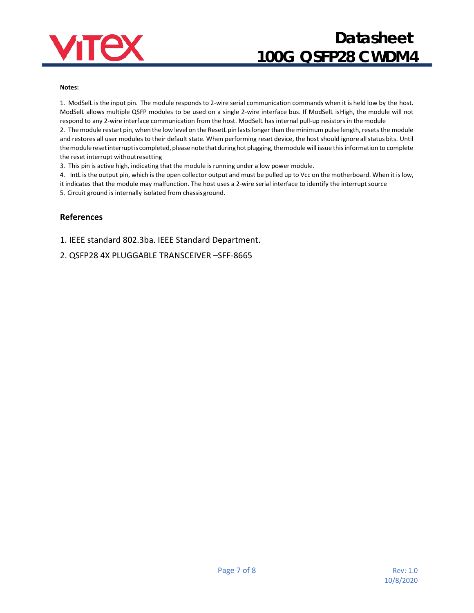

#### **Notes:**

1. ModSelL is the input pin. The module responds to 2-wire serial communication commands when it is held low by the host. ModSelL allows multiple QSFP modules to be used on a single 2-wire interface bus. If ModSelL isHigh, the module will not respond to any 2-wire interface communication from the host. ModSelL has internal pull-up resistors in the module

2. The module restart pin, when the low level on the ResetL pin lastslonger than the minimum pulse length, resets the module and restores all user modules to their default state. When performing reset device, the host should ignore all status bits. Until the module reset interrupt is completed, please note that during hot plugging, the module will issue this information to complete the reset interrupt withoutresetting

3. This pin is active high, indicating that the module is running under a low power module.

4. IntL is the output pin, which is the open collector output and must be pulled up to Vcc on the motherboard. When it is low, it indicates that the module may malfunction. The host uses a 2-wire serial interface to identify the interrupt source

5. Circuit ground is internally isolated from chassisground.

#### **References**

1. IEEE standard 802.3ba. IEEE Standard Department.

2. [QSFP28 4X PLUGGABLE TRANSCEIVER –SFF-8665](http://www.moduletek.com/Download/SFF-8665_QSFP-28-Gbs-4X-Pluggable-Transceiver-Solution(QSFP28).Rev1.9.pdf)